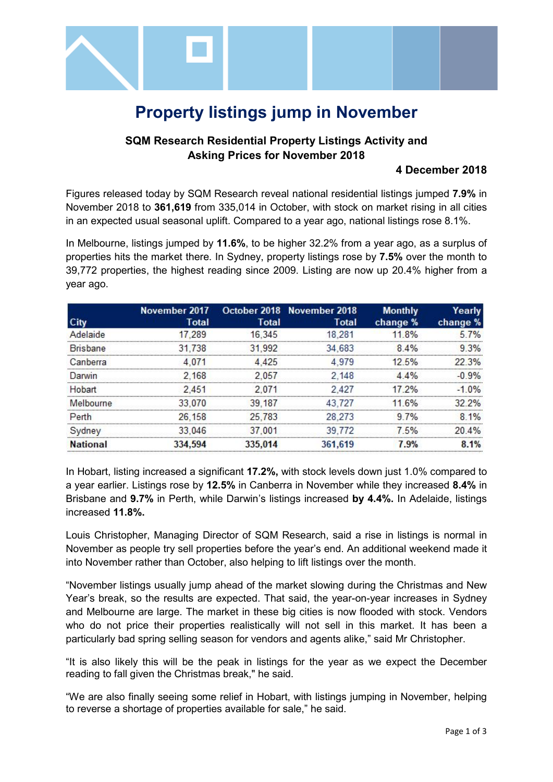

# **Property listings jump in November**

### **SQM Research Residential Property Listings Activity and Asking Prices for November 2018**

#### **4 December 2018**

Figures released today by SQM Research reveal national residential listings jumped **7.9%** in November 2018 to **361,619** from 335,014 in October, with stock on market rising in all cities in an expected usual seasonal uplift. Compared to a year ago, national listings rose 8.1%.

In Melbourne, listings jumped by **11.6%**, to be higher 32.2% from a year ago, as a surplus of properties hits the market there. In Sydney, property listings rose by **7.5%** over the month to 39,772 properties, the highest reading since 2009. Listing are now up 20.4% higher from a year ago.

|                 |        |              | November 2017 October 2018 November 2018 | <b>Monthly</b> | Yearlv        |
|-----------------|--------|--------------|------------------------------------------|----------------|---------------|
|                 | Total  | <b>Total</b> | Total                                    | change %       | change %      |
| Adelaide        | 289    | 16.345       | 281                                      | 18%            |               |
| <b>Brisbane</b> | 31 738 | 31.992       | 34 683                                   | 8.4%           |               |
| Canberra        |        |              |                                          | 12.5%          | 22.3%         |
| Darwin          | 2.168  | 05/          | 2 148                                    | 4%             |               |
| Hobart          | 2451   |              | 2427                                     | 17.2%          | $-1.0%$       |
| Melbourne       | 070    | 39 187       | 43 727                                   | 6%             | 32.2%         |
| Perth           | 26 158 | 25 783       | 28.273                                   | 7%             |               |
| /dney           | 33.046 | 37 001       | 39 772                                   |                | $\Lambda^{0}$ |
|                 |        |              |                                          |                |               |

In Hobart, listing increased a significant **17.2%,** with stock levels down just 1.0% compared to a year earlier. Listings rose by **12.5%** in Canberra in November while they increased **8.4%** in Brisbane and **9.7%** in Perth, while Darwin's listings increased **by 4.4%.** In Adelaide, listings increased **11.8%.**

Louis Christopher, Managing Director of SQM Research, said a rise in listings is normal in November as people try sell properties before the year's end. An additional weekend made it into November rather than October, also helping to lift listings over the month.

"November listings usually jump ahead of the market slowing during the Christmas and New Year's break, so the results are expected. That said, the year-on-year increases in Sydney and Melbourne are large. The market in these big cities is now flooded with stock. Vendors who do not price their properties realistically will not sell in this market. It has been a particularly bad spring selling season for vendors and agents alike," said Mr Christopher.

"It is also likely this will be the peak in listings for the year as we expect the December reading to fall given the Christmas break," he said.

"We are also finally seeing some relief in Hobart, with listings jumping in November, helping to reverse a shortage of properties available for sale," he said.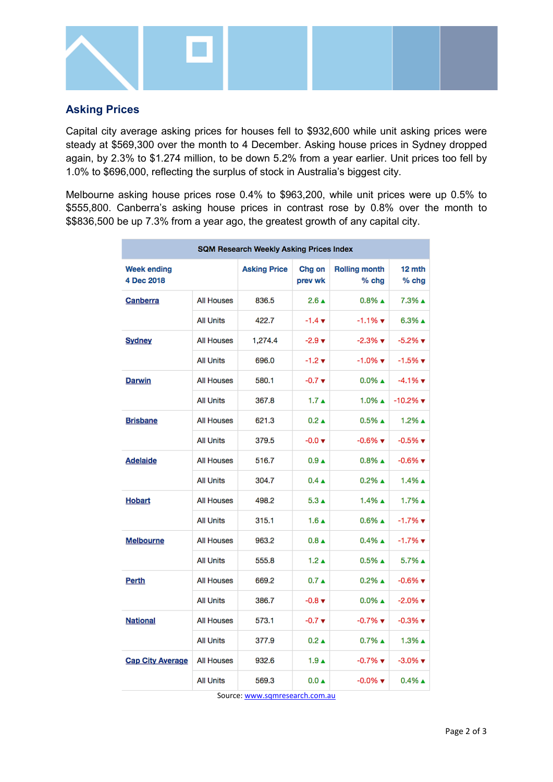

## **Asking Prices**

Capital city average asking prices for houses fell to \$932,600 while unit asking prices were steady at \$569,300 over the month to 4 December. Asking house prices in Sydney dropped again, by 2.3% to \$1.274 million, to be down 5.2% from a year earlier. Unit prices too fell by 1.0% to \$696,000, reflecting the surplus of stock in Australia's biggest city.

Melbourne asking house prices rose 0.4% to \$963,200, while unit prices were up 0.5% to \$555,800. Canberra's asking house prices in contrast rose by 0.8% over the month to \$\$836,500 be up 7.3% from a year ago, the greatest growth of any capital city.

| <b>SQM Research Weekly Asking Prices Index</b> |                   |                     |                             |                                 |                                |  |  |  |
|------------------------------------------------|-------------------|---------------------|-----------------------------|---------------------------------|--------------------------------|--|--|--|
| <b>Week ending</b><br>4 Dec 2018               |                   | <b>Asking Price</b> | Chg on<br>prev wk           | <b>Rolling month</b><br>$%$ chg | 12 mth<br>$%$ chg              |  |  |  |
| Canberra                                       | <b>All Houses</b> | 836.5               | $2.6 \triangle$             | $0.8\%$ $\triangle$             | 7.3% ▲                         |  |  |  |
|                                                | <b>All Units</b>  | 422.7               | $-1.4 \; \text{v}$          | $-1.1%$ $\blacktriangledown$    | $6.3\%$ $\triangle$            |  |  |  |
| <b>Sydney</b>                                  | <b>All Houses</b> | 1,274.4             | $-2.9 +$                    | $-2.3\%$ $\blacktriangledown$   | $-5.2\%$ $\blacktriangledown$  |  |  |  |
|                                                | <b>All Units</b>  | 696.0               | $-1.2 +$                    | $-1.0\%$ $\blacktriangledown$   | $-1.5%$ $\blacktriangledown$   |  |  |  |
| <b>Darwin</b>                                  | <b>All Houses</b> | 580.1               | $-0.7$ $\blacktriangledown$ | $0.0\%$ $\triangle$             | $-4.1\%$ $\blacktriangledown$  |  |  |  |
|                                                | <b>All Units</b>  | 367.8               | $1.7 \triangle$             | $1.0\%$ A                       | $-10.2\%$ $\blacktriangledown$ |  |  |  |
| <b>Brisbane</b>                                | <b>All Houses</b> | 621.3               | $0.2 \triangle$             | $0.5\%$ $\triangle$             | $1.2\%$ $\triangle$            |  |  |  |
|                                                | <b>All Units</b>  | 379.5               | $-0.0 \times$               | $-0.6\%$ $\blacktriangledown$   | $-0.5\%$ $\blacktriangledown$  |  |  |  |
| Adelaide                                       | <b>All Houses</b> | 516.7               | 0.9 <sub>A</sub>            | $0.8\%$ $\triangle$             | $-0.6\%$ $\blacktriangledown$  |  |  |  |
|                                                | <b>All Units</b>  | 304.7               | $0.4 \triangle$             | $0.2\%$ $\triangle$             | $1.4\%$ $\triangle$            |  |  |  |
| Hobart                                         | <b>All Houses</b> | 498.2               | $5.3 \triangle$             | $1.4\%$ $\triangle$             | $1.7\%$ A                      |  |  |  |
|                                                | <b>All Units</b>  | 315.1               | $1.6 \triangle$             | $0.6\%$ $\triangle$             | $-1.7%$ $\blacktriangledown$   |  |  |  |
| <b>Melbourne</b>                               | <b>All Houses</b> | 963.2               | $0.8 \triangle$             | $0.4\%$ $\triangle$             | $-1.7%$ $\blacktriangledown$   |  |  |  |
|                                                | <b>All Units</b>  | 555.8               | $1.2 \triangle$             | $0.5\%$ $\triangle$             | $5.7\%$ $\triangle$            |  |  |  |
| Perth                                          | <b>All Houses</b> | 669.2               | $0.7 \triangle$             | $0.2\%$ $\triangle$             | $-0.6\%$ $\blacktriangledown$  |  |  |  |
|                                                | <b>All Units</b>  | 386.7               | $-0.8 +$                    | $0.0\%$ $\triangle$             | $-2.0\%$ $\blacktriangledown$  |  |  |  |
| <b>National</b>                                | <b>All Houses</b> | 573.1               | $-0.7 +$                    | $-0.7\%$ $\blacktriangledown$   | $-0.3\%$ $\blacktriangledown$  |  |  |  |
|                                                | <b>All Units</b>  | 377.9               | $0.2 \triangle$             | $0.7\%$ $\triangle$             | 1.3% ▲                         |  |  |  |
| <b>Cap City Average</b>                        | <b>All Houses</b> | 932.6               | $1.9 \text{ A}$             | $-0.7\%$ $\blacktriangledown$   | $-3.0\%$ $\blacktriangledown$  |  |  |  |
|                                                | <b>All Units</b>  | 569.3               | $0.0 \triangle$             | $-0.0\%$ $\blacktriangledown$   | $0.4\%$ $\triangle$            |  |  |  |

Source[: www.sqmresearch.com.au](http://www.sqmresearch.com.au/)